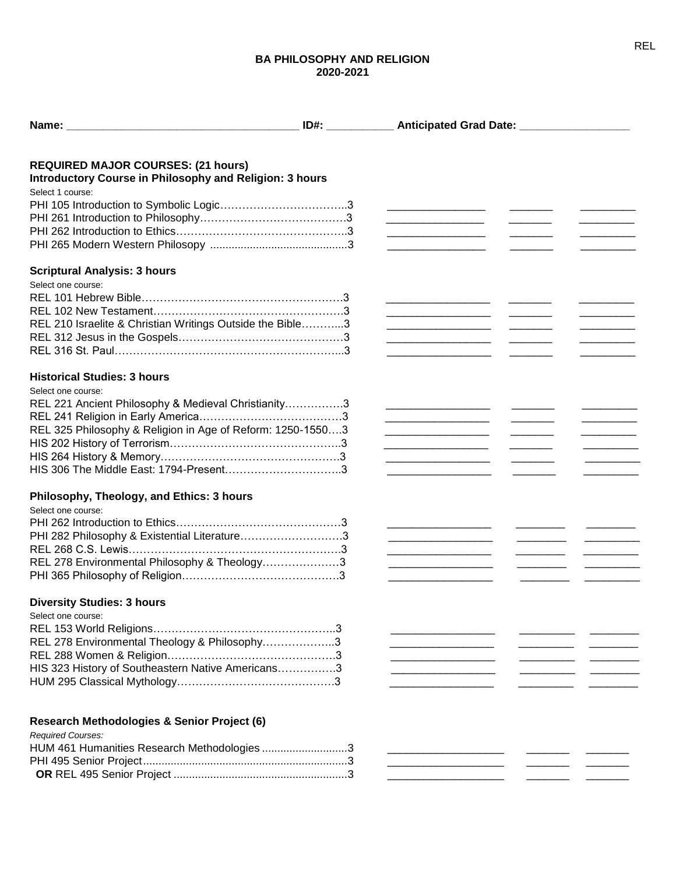## **BA PHILOSOPHY AND RELIGION 2020-2021**

| Name: will be a series of the contract of the contract of the contract of the contract of the contract of the contract of the contract of the contract of the contract of the contract of the contract of the contract of the | ID#: ______________ Anticipated Grad Date: _____________________                          |  |                                  |
|-------------------------------------------------------------------------------------------------------------------------------------------------------------------------------------------------------------------------------|-------------------------------------------------------------------------------------------|--|----------------------------------|
|                                                                                                                                                                                                                               |                                                                                           |  |                                  |
| <b>REQUIRED MAJOR COURSES: (21 hours)</b>                                                                                                                                                                                     |                                                                                           |  |                                  |
| Introductory Course in Philosophy and Religion: 3 hours                                                                                                                                                                       |                                                                                           |  |                                  |
| Select 1 course:                                                                                                                                                                                                              |                                                                                           |  |                                  |
|                                                                                                                                                                                                                               | <u> 1989 - Johann Barbara, martin a</u>                                                   |  |                                  |
|                                                                                                                                                                                                                               | <u> 1989 - Johann Barbara, martin a</u>                                                   |  |                                  |
|                                                                                                                                                                                                                               | <u> 1990 - Johann Barbara, martin a</u>                                                   |  |                                  |
|                                                                                                                                                                                                                               | the control of the control of the control of the control of the control of the control of |  |                                  |
| <b>Scriptural Analysis: 3 hours</b>                                                                                                                                                                                           |                                                                                           |  |                                  |
| Select one course:                                                                                                                                                                                                            |                                                                                           |  |                                  |
|                                                                                                                                                                                                                               |                                                                                           |  |                                  |
|                                                                                                                                                                                                                               | <u> 1990 - Johann Barbara, martin a bhaile an t-</u>                                      |  |                                  |
| REL 210 Israelite & Christian Writings Outside the Bible3                                                                                                                                                                     |                                                                                           |  |                                  |
|                                                                                                                                                                                                                               |                                                                                           |  |                                  |
|                                                                                                                                                                                                                               |                                                                                           |  |                                  |
|                                                                                                                                                                                                                               |                                                                                           |  |                                  |
| <b>Historical Studies: 3 hours</b>                                                                                                                                                                                            |                                                                                           |  |                                  |
| Select one course:                                                                                                                                                                                                            |                                                                                           |  |                                  |
| REL 221 Ancient Philosophy & Medieval Christianity3                                                                                                                                                                           |                                                                                           |  |                                  |
|                                                                                                                                                                                                                               | <u> 1989 - Johann Barbara, martin a</u>                                                   |  |                                  |
| REL 325 Philosophy & Religion in Age of Reform: 1250-15503                                                                                                                                                                    | .                                                                                         |  | <u> 1990 - Johann Barnett, f</u> |
|                                                                                                                                                                                                                               | <u> 1990 - Johann Barbara, martxa al-A</u>                                                |  | <u> 1989 - Johann Barnett, f</u> |
|                                                                                                                                                                                                                               | <u> 1989 - Johann Barbara, martin a</u>                                                   |  | <u> 1990 - Johann Barnett, f</u> |
|                                                                                                                                                                                                                               | the company of the company of the company                                                 |  |                                  |
| Philosophy, Theology, and Ethics: 3 hours                                                                                                                                                                                     |                                                                                           |  |                                  |
| Select one course:                                                                                                                                                                                                            |                                                                                           |  |                                  |
|                                                                                                                                                                                                                               |                                                                                           |  |                                  |
| PHI 282 Philosophy & Existential Literature3                                                                                                                                                                                  |                                                                                           |  |                                  |
|                                                                                                                                                                                                                               | the control of the control of the control of                                              |  |                                  |
| REL 278 Environmental Philosophy & Theology3                                                                                                                                                                                  | <u> 1990 - Johann Barbara, martin a</u>                                                   |  |                                  |
|                                                                                                                                                                                                                               | <u> 1990 - Johann Barbara, martin a</u>                                                   |  |                                  |
|                                                                                                                                                                                                                               |                                                                                           |  |                                  |
| <b>Diversity Studies: 3 hours</b>                                                                                                                                                                                             |                                                                                           |  |                                  |
| Select one course:                                                                                                                                                                                                            |                                                                                           |  |                                  |
|                                                                                                                                                                                                                               |                                                                                           |  |                                  |
| REL 278 Environmental Theology & Philosophy3                                                                                                                                                                                  |                                                                                           |  |                                  |
|                                                                                                                                                                                                                               |                                                                                           |  |                                  |
| HIS 323 History of Southeastern Native Americans3                                                                                                                                                                             |                                                                                           |  |                                  |
|                                                                                                                                                                                                                               |                                                                                           |  |                                  |
|                                                                                                                                                                                                                               |                                                                                           |  |                                  |
| Research Methodologies & Senior Project (6)                                                                                                                                                                                   |                                                                                           |  |                                  |
| <b>Required Courses:</b>                                                                                                                                                                                                      |                                                                                           |  |                                  |
| HUM 461 Humanities Research Methodologies 3                                                                                                                                                                                   |                                                                                           |  |                                  |
|                                                                                                                                                                                                                               |                                                                                           |  |                                  |
|                                                                                                                                                                                                                               |                                                                                           |  |                                  |